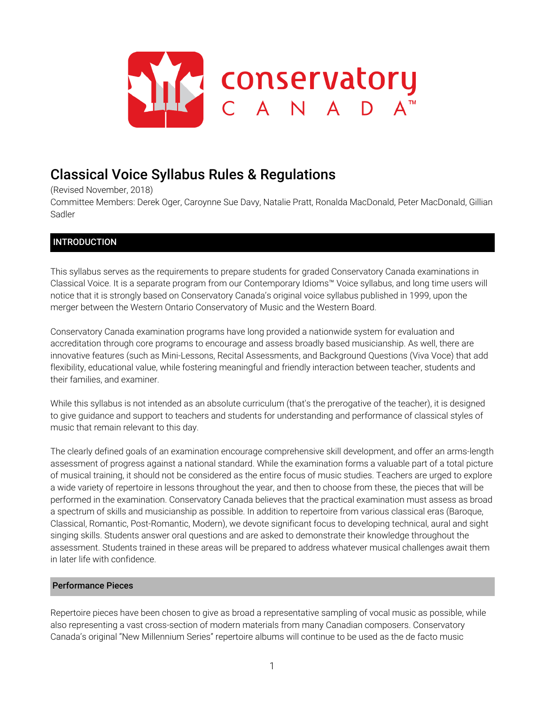

# Classical Voice Syllabus Rules & Regulations

(Revised November, 2018)

Committee Members: Derek Oger, Caroynne Sue Davy, Natalie Pratt, Ronalda MacDonald, Peter MacDonald, Gillian Sadler

# INTRODUCTION

This syllabus serves as the requirements to prepare students for graded Conservatory Canada examinations in Classical Voice. It is a separate program from our Contemporary Idioms™ Voice syllabus, and long time users will notice that it is strongly based on Conservatory Canada's original voice syllabus published in 1999, upon the merger between the Western Ontario Conservatory of Music and the Western Board.

Conservatory Canada examination programs have long provided a nationwide system for evaluation and accreditation through core programs to encourage and assess broadly based musicianship. As well, there are innovative features (such as Mini-Lessons, Recital Assessments, and Background Questions (Viva Voce) that add flexibility, educational value, while fostering meaningful and friendly interaction between teacher, students and their families, and examiner.

While this syllabus is not intended as an absolute curriculum (that's the prerogative of the teacher), it is designed to give guidance and support to teachers and students for understanding and performance of classical styles of music that remain relevant to this day.

The clearly defined goals of an examination encourage comprehensive skill development, and offer an arms-length assessment of progress against a national standard. While the examination forms a valuable part of a total picture of musical training, it should not be considered as the entire focus of music studies. Teachers are urged to explore a wide variety of repertoire in lessons throughout the year, and then to choose from these, the pieces that will be performed in the examination. Conservatory Canada believes that the practical examination must assess as broad a spectrum of skills and musicianship as possible. In addition to repertoire from various classical eras (Baroque, Classical, Romantic, Post-Romantic, Modern), we devote significant focus to developing technical, aural and sight singing skills. Students answer oral questions and are asked to demonstrate their knowledge throughout the assessment. Students trained in these areas will be prepared to address whatever musical challenges await them in later life with confidence.

# Performance Pieces

Repertoire pieces have been chosen to give as broad a representative sampling of vocal music as possible, while also representing a vast cross-section of modern materials from many Canadian composers. Conservatory Canada's original "New Millennium Series" repertoire albums will continue to be used as the de facto music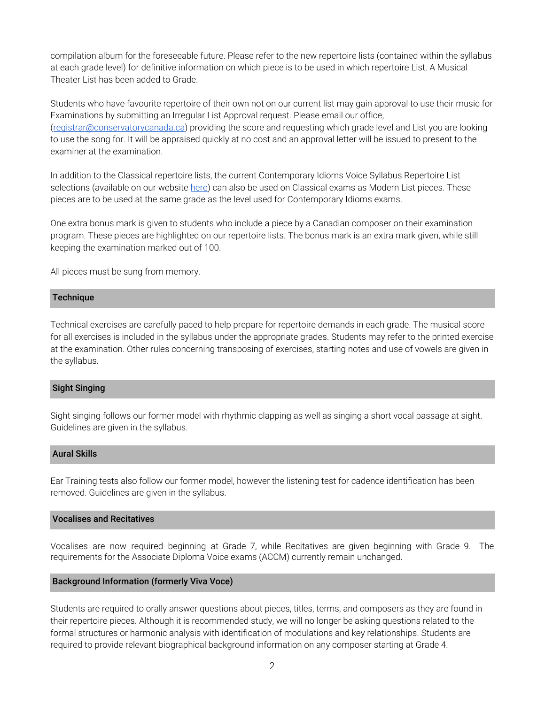compilation album for the foreseeable future. Please refer to the new repertoire lists (contained within the syllabus at each grade level) for definitive information on which piece is to be used in which repertoire List. A Musical Theater List has been added to Grade.

Students who have favourite repertoire of their own not on our current list may gain approval to use their music for Examinations by submitting an Irregular List Approval request. Please email our office, ([registrar@conservatorycanada.ca\)](mailto:registrar@conservatorycanada.ca) providing the score and requesting which grade level and List you are looking to use the song for. It will be appraised quickly at no cost and an approval letter will be issued to present to the examiner at the examination.

In addition to the Classical repertoire lists, the current Contemporary Idioms Voice Syllabus Repertoire List selections (available on our website [here](https://conservatorycanada.ca/syllabi/contemporary-voice/)) can also be used on Classical exams as Modern List pieces. These pieces are to be used at the same grade as the level used for Contemporary Idioms exams.

One extra bonus mark is given to students who include a piece by a Canadian composer on their examination program. These pieces are highlighted on our repertoire lists. The bonus mark is an extra mark given, while still keeping the examination marked out of 100.

All pieces must be sung from memory.

#### **Technique**

Technical exercises are carefully paced to help prepare for repertoire demands in each grade. The musical score for all exercises is included in the syllabus under the appropriate grades. Students may refer to the printed exercise at the examination. Other rules concerning transposing of exercises, starting notes and use of vowels are given in the syllabus.

## Sight Singing

Sight singing follows our former model with rhythmic clapping as well as singing a short vocal passage at sight. Guidelines are given in the syllabus.

#### Aural Skills

Ear Training tests also follow our former model, however the listening test for cadence identification has been removed. Guidelines are given in the syllabus.

#### Vocalises and Recitatives

Vocalises are now required beginning at Grade 7, while Recitatives are given beginning with Grade 9. The requirements for the Associate Diploma Voice exams (ACCM) currently remain unchanged.

#### Background Information (formerly Viva Voce)

Students are required to orally answer questions about pieces, titles, terms, and composers as they are found in their repertoire pieces. Although it is recommended study, we will no longer be asking questions related to the formal structures or harmonic analysis with identification of modulations and key relationships. Students are required to provide relevant biographical background information on any composer starting at Grade 4.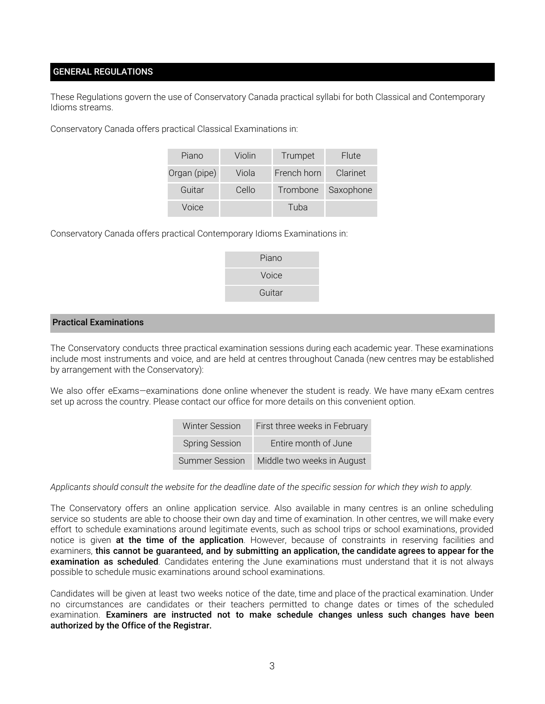## GENERAL REGULATIONS

These Regulations govern the use of Conservatory Canada practical syllabi for both Classical and Contemporary Idioms streams.

Conservatory Canada offers practical Classical Examinations in:

| Piano        | Violin | Trumpet     | <b>Flute</b> |
|--------------|--------|-------------|--------------|
| Organ (pipe) | Viola  | French horn | Clarinet     |
| Guitar       | Cello  | Trombone    | Saxophone    |
| Voice        |        | Tuba        |              |

Conservatory Canada offers practical Contemporary Idioms Examinations in:

| Piano  |
|--------|
| Voice  |
| Guitar |
|        |

#### Practical Examinations

The Conservatory conducts three practical examination sessions during each academic year. These examinations include most instruments and voice, and are held at centres throughout Canada (new centres may be established by arrangement with the Conservatory):

We also offer eExams-examinations done online whenever the student is ready. We have many eExam centres set up across the country. Please contact our office for more details on this convenient option.

| <b>Winter Session</b> | First three weeks in February |
|-----------------------|-------------------------------|
| <b>Spring Session</b> | Entire month of June          |
| Summer Session        | Middle two weeks in August    |

Applicants should consult the website for the deadline date of the specific session for which they wish to apply.

The Conservatory offers an online application service. Also available in many centres is an online scheduling service so students are able to choose their own day and time of examination. In other centres, we will make every effort to schedule examinations around legitimate events, such as school trips or school examinations, provided notice is given at the time of the application. However, because of constraints in reserving facilities and examiners, this cannot be guaranteed, and by submitting an application, the candidate agrees to appear for the examination as scheduled. Candidates entering the June examinations must understand that it is not always possible to schedule music examinations around school examinations.

Candidates will be given at least two weeks notice of the date, time and place of the practical examination. Under no circumstances are candidates or their teachers permitted to change dates or times of the scheduled examination. Examiners are instructed not to make schedule changes unless such changes have been authorized by the Office of the Registrar.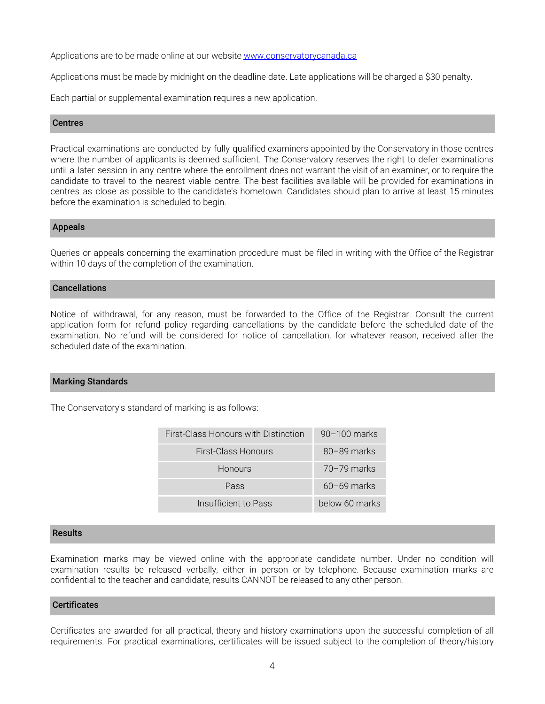Applications are to be made online at our website [www.conservatorycanada.ca](http://www.conservatorycanada.ca/)

Applications must be made by midnight on the deadline date. Late applications will be charged a \$30 penalty.

Each partial or supplemental examination requires a new application.

#### **Centres**

Practical examinations are conducted by fully qualified examiners appointed by the Conservatory in those centres where the number of applicants is deemed sufficient. The Conservatory reserves the right to defer examinations until a later session in any centre where the enrollment does not warrant the visit of an examiner, or to require the candidate to travel to the nearest viable centre. The best facilities available will be provided for examinations in centres as close as possible to the candidate's hometown. Candidates should plan to arrive at least 15 minutes before the examination is scheduled to begin.

#### Appeals

Queries or appeals concerning the examination procedure must be filed in writing with the Office of the Registrar within 10 days of the completion of the examination.

#### Cancellations

Notice of withdrawal, for any reason, must be forwarded to the Office of the Registrar. Consult the current application form for refund policy regarding cancellations by the candidate before the scheduled date of the examination. No refund will be considered for notice of cancellation, for whatever reason, received after the scheduled date of the examination.

#### Marking Standards

The Conservatory's standard of marking is as follows:

| First-Class Honours with Distinction | $90-100$ marks  |
|--------------------------------------|-----------------|
| <b>First-Class Honours</b>           | $80 - 89$ marks |
| <b>Honours</b>                       | $70 - 79$ marks |
| Pass                                 | $60 - 69$ marks |
| Insufficient to Pass                 | below 60 marks  |

#### Results

Examination marks may be viewed online with the appropriate candidate number. Under no condition will examination results be released verbally, either in person or by telephone. Because examination marks are confidential to the teacher and candidate, results CANNOT be released to any other person.

#### **Certificates**

Certificates are awarded for all practical, theory and history examinations upon the successful completion of all requirements. For practical examinations, certificates will be issued subject to the completion of theory/history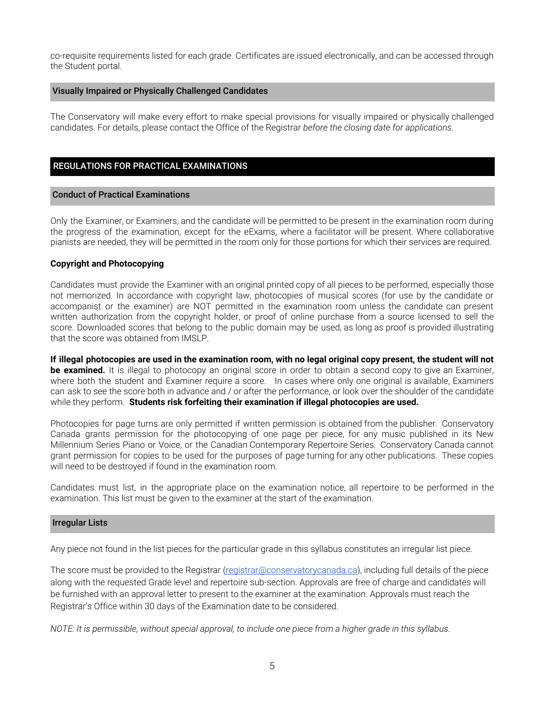co-requisite requirements listed for each grade. Certificates are issued electronically, and can be accessed through the Student portal.

#### Visually Impaired or Physically Challenged Candidates

The Conservatory will make every effort to make special provisions for visually impaired or physically challenged candidates. For details, please contact the Office of the Registrar *before the closing date for applications*.

## REGULATIONS FOR PRACTICAL EXAMINATIONS

#### Conduct of Practical Examinations

Only the Examiner, or Examiners, and the candidate will be permitted to be present in the examination room during the progress of the examination, except for the eExams, where a facilitator will be present. Where collaborative pianists are needed, they will be permitted in the room only for those portions for which their services are required.

## **Copyright and Photocopying**

Candidates must provide the Examiner with an original printed copy of all pieces to be performed, especially those not memorized. In accordance with copyright law, photocopies of musical scores (for use by the candidate or accompanist or the examiner) are NOT permitted in the examination room unless the candidate can present written authorization from the copyright holder, or proof of online purchase from a source licensed to sell the score. Downloaded scores that belong to the public domain may be used, as long as proof is provided illustrating that the score was obtained from IMSLP.

If illegal photocopies are used in the examination room, with no legal original copy present, the student will not **be examined.** It is illegal to photocopy an original score in order to obtain a second copy to give an Examiner, where both the student and Examiner require a score. In cases where only one original is available, Examiners can ask to see the score both in advance and / or after the performance, or look over the shoulder of the candidate while they perform. **Students risk forfeiting their examination if illegal photocopies are used.**

Photocopies for page turns are only permitted if written permission is obtained from the publisher. Conservatory Canada grants permission for the photocopying of one page per piece, for any music published in its New Millennium Series Piano or Voice, or the Canadian Contemporary Repertoire Series. Conservatory Canada cannot grant permission for copies to be used for the purposes of page turning for any other publications. These copies will need to be destroyed if found in the examination room.

Candidates must list, in the appropriate place on the examination notice, all repertoire to be performed in the examination. This list must be given to the examiner at the start of the examination.

#### Irregular Lists

Any piece not found in the list pieces for the particular grade in this syllabus constitutes an irregular list piece.

The score must be provided to the Registrar ([registrar@conservatorycanada.ca](mailto:registrar@conservatorycanada.ca)), including full details of the piece along with the requested Grade level and repertoire sub-section. Approvals are free of charge and candidates will be furnished with an approval letter to present to the examiner at the examination. Approvals must reach the Registrar's Office within 30 days of the Examination date to be considered.

NOTE: It is permissible, without special approval, to include one piece from a higher grade in this syllabus.